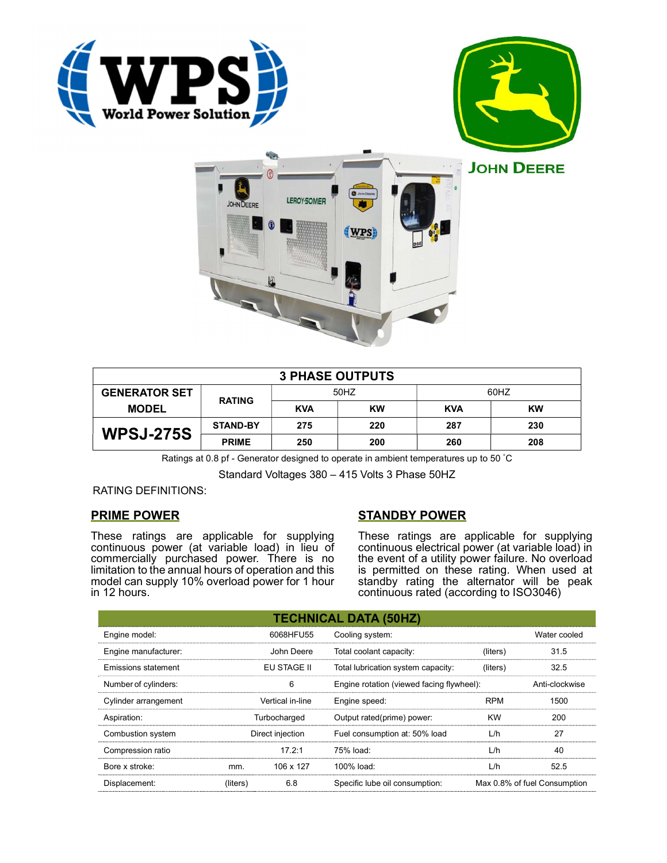





|                                      |                 |            | <b>3 PHASE OUTPUTS</b> |            |           |
|--------------------------------------|-----------------|------------|------------------------|------------|-----------|
| <b>GENERATOR SET</b><br><b>MODEL</b> | <b>RATING</b>   | 50HZ       |                        | 60HZ       |           |
|                                      |                 | <b>KVA</b> | <b>KW</b>              | <b>KVA</b> | <b>KW</b> |
| <b>WPSJ-275S</b>                     | <b>STAND-BY</b> | 275        | 220                    | 287        | 230       |
|                                      | <b>PRIME</b>    | 250        | 200                    | 260        | 208       |

Ratings at 0.8 pf - Generator designed to operate in ambient temperatures up to 50 °C

Standard Voltages 380 – 415 Volts 3 Phase 50HZ

# RATING DEFINITIONS:

# PRIME POWER

These ratings are applicable for supplying continuous power (at variable load) in lieu of commercially purchased power. There is no limitation to the annual hours of operation and this model can supply 10% overload power for 1 hour in 12 hours.

# STANDBY POWER

These ratings are applicable for supplying continuous electrical power (at variable load) in the event of a utility power failure. No overload is permitted on these rating. When used at standby rating the alternator will be peak continuous rated (according to ISO3046)

|                                           |          |                                    | <b>TECHNICAL DATA (50HZ)</b>              |            |                              |
|-------------------------------------------|----------|------------------------------------|-------------------------------------------|------------|------------------------------|
| Engine model:                             |          | 6068HFU55                          | Cooling system:                           |            | Water cooled                 |
| Engine manufacturer:                      |          | John Deere                         | Total coolant capacity:                   | (liters)   | 31.5                         |
| <b>Emissions statement</b><br>EU STAGE II |          | Total lubrication system capacity: | (liters)                                  | 32.5       |                              |
| Number of cylinders:                      |          | 6                                  | Engine rotation (viewed facing flywheel): |            | Anti-clockwise               |
| Cylinder arrangement                      |          | Vertical in-line                   | Engine speed:                             | <b>RPM</b> | 1500                         |
| Aspiration:                               |          | Turbocharged                       | Output rated(prime) power:                | <b>KW</b>  | 200                          |
| Combustion system                         |          | Direct injection                   | Fuel consumption at: 50% load             | L/h        | 27                           |
| Compression ratio                         |          | 17.2:1                             | 75% load:                                 | L/h        | 40                           |
| Bore x stroke:                            | mm.      | 106 x 127                          | 100% load:                                | L/h        | 52.5                         |
| Displacement:                             | (liters) | 6.8                                | Specific lube oil consumption:            |            | Max 0.8% of fuel Consumption |